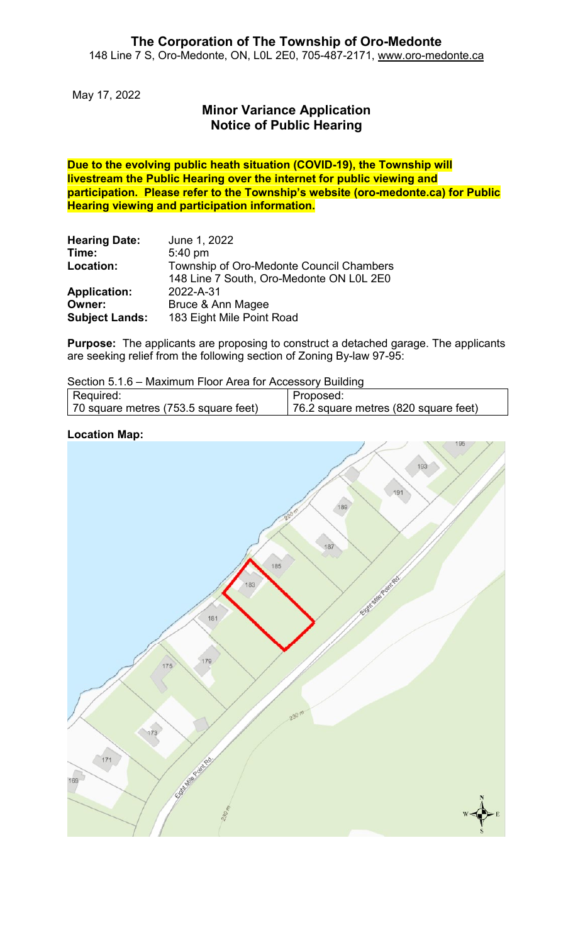May 17, 2022

## **Minor Variance Application Notice of Public Hearing**

**Due to the evolving public heath situation (COVID-19), the Township will livestream the Public Hearing over the internet for public viewing and participation. Please refer to the Township's website (oro-medonte.ca) for Public Hearing viewing and participation information.**

| <b>Hearing Date:</b>  | June 1, 2022                             |
|-----------------------|------------------------------------------|
| Time:                 | 5:40 pm                                  |
| Location:             | Township of Oro-Medonte Council Chambers |
|                       | 148 Line 7 South, Oro-Medonte ON L0L 2E0 |
| <b>Application:</b>   | 2022-A-31                                |
| Owner:                | Bruce & Ann Magee                        |
| <b>Subject Lands:</b> | 183 Eight Mile Point Road                |

**Purpose:** The applicants are proposing to construct a detached garage. The applicants are seeking relief from the following section of Zoning By-law 97-95:

Section 5.1.6 – Maximum Floor Area for Accessory Building

| Proposed: |                                      |                                      |  |
|-----------|--------------------------------------|--------------------------------------|--|
|           | Required:                            |                                      |  |
|           | 70 square metres (753.5 square feet) | 76.2 square metres (820 square feet) |  |



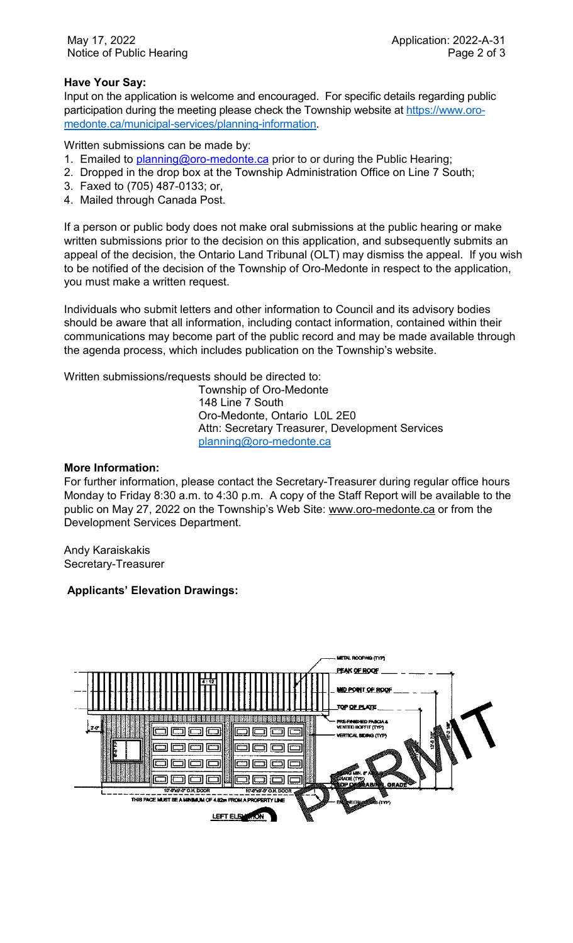## **Have Your Say:**

Input on the application is welcome and encouraged. For specific details regarding public participation during the meeting please check the Township website at [https://www.oro](https://www.oro-medonte.ca/municipal-services/planning-information)[medonte.ca/municipal-services/planning-information.](https://www.oro-medonte.ca/municipal-services/planning-information)

Written submissions can be made by:

- 1. Emailed to **planning@oro-medonte.ca** prior to or during the Public Hearing;
- 2. Dropped in the drop box at the Township Administration Office on Line 7 South;
- 3. Faxed to (705) 487-0133; or,
- 4. Mailed through Canada Post.

If a person or public body does not make oral submissions at the public hearing or make written submissions prior to the decision on this application, and subsequently submits an appeal of the decision, the Ontario Land Tribunal (OLT) may dismiss the appeal. If you wish to be notified of the decision of the Township of Oro-Medonte in respect to the application, you must make a written request.

Individuals who submit letters and other information to Council and its advisory bodies should be aware that all information, including contact information, contained within their communications may become part of the public record and may be made available through the agenda process, which includes publication on the Township's website.

Written submissions/requests should be directed to:

Township of Oro-Medonte 148 Line 7 South Oro-Medonte, Ontario L0L 2E0 Attn: Secretary Treasurer, Development Services [planning@oro-medonte.ca](mailto:planning@oro-medonte.ca)

## **More Information:**

For further information, please contact the Secretary-Treasurer during regular office hours Monday to Friday 8:30 a.m. to 4:30 p.m. A copy of the Staff Report will be available to the public on May 27, 2022 on the Township's Web Site: [www.oro-medonte.ca](http://www.oro-medonte.ca/) or from the Development Services Department.

Andy Karaiskakis Secretary-Treasurer

## **Applicants' Elevation Drawings:**